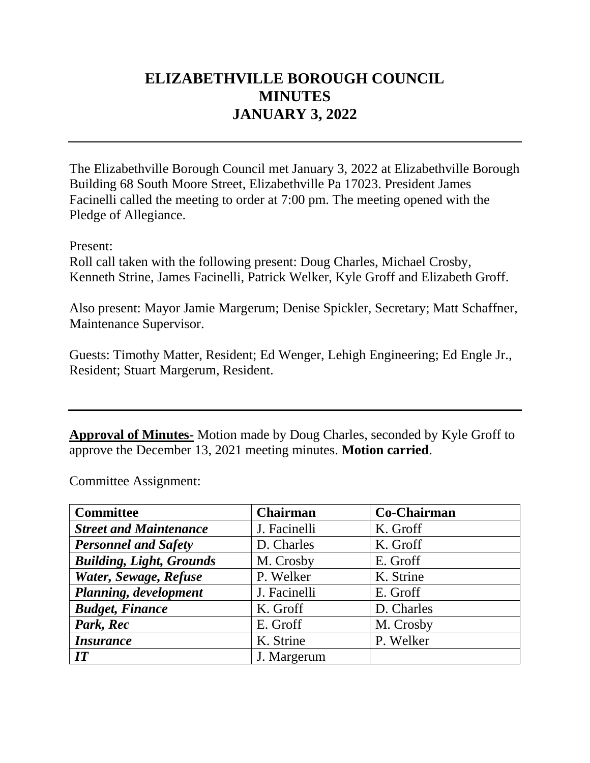# **ELIZABETHVILLE BOROUGH COUNCIL MINUTES JANUARY 3, 2022**

The Elizabethville Borough Council met January 3, 2022 at Elizabethville Borough Building 68 South Moore Street, Elizabethville Pa 17023. President James Facinelli called the meeting to order at 7:00 pm. The meeting opened with the Pledge of Allegiance.

Present:

Roll call taken with the following present: Doug Charles, Michael Crosby, Kenneth Strine, James Facinelli, Patrick Welker, Kyle Groff and Elizabeth Groff.

Also present: Mayor Jamie Margerum; Denise Spickler, Secretary; Matt Schaffner, Maintenance Supervisor.

Guests: Timothy Matter, Resident; Ed Wenger, Lehigh Engineering; Ed Engle Jr., Resident; Stuart Margerum, Resident.

**Approval of Minutes-** Motion made by Doug Charles, seconded by Kyle Groff to approve the December 13, 2021 meeting minutes. **Motion carried**.

Committee Assignment:

| <b>Committee</b>                | <b>Chairman</b> | Co-Chairman |
|---------------------------------|-----------------|-------------|
| <b>Street and Maintenance</b>   | J. Facinelli    | K. Groff    |
| <b>Personnel and Safety</b>     | D. Charles      | K. Groff    |
| <b>Building, Light, Grounds</b> | M. Crosby       | E. Groff    |
| Water, Sewage, Refuse           | P. Welker       | K. Strine   |
| Planning, development           | J. Facinelli    | E. Groff    |
| <b>Budget, Finance</b>          | K. Groff        | D. Charles  |
| Park, Rec                       | E. Groff        | M. Crosby   |
| <i><b>Insurance</b></i>         | K. Strine       | P. Welker   |
| IT                              | J. Margerum     |             |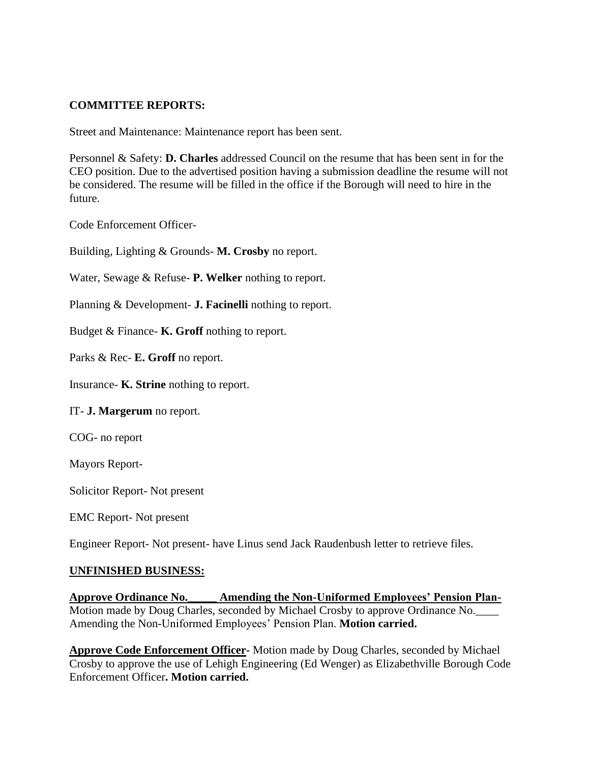### **COMMITTEE REPORTS:**

Street and Maintenance: Maintenance report has been sent.

Personnel & Safety: **D. Charles** addressed Council on the resume that has been sent in for the CEO position. Due to the advertised position having a submission deadline the resume will not be considered. The resume will be filled in the office if the Borough will need to hire in the future.

Code Enforcement Officer-

Building, Lighting & Grounds- **M. Crosby** no report.

Water, Sewage & Refuse- **P. Welker** nothing to report.

Planning & Development- **J. Facinelli** nothing to report.

Budget & Finance- **K. Groff** nothing to report.

Parks & Rec- **E. Groff** no report.

Insurance- **K. Strine** nothing to report.

IT- **J. Margerum** no report.

COG- no report

Mayors Report-

Solicitor Report- Not present

EMC Report- Not present

Engineer Report- Not present- have Linus send Jack Raudenbush letter to retrieve files.

#### **UNFINISHED BUSINESS:**

**Approve Ordinance No.\_\_\_\_\_ Amending the Non-Uniformed Employees' Pension Plan-**Motion made by Doug Charles, seconded by Michael Crosby to approve Ordinance No.\_\_\_\_ Amending the Non-Uniformed Employees' Pension Plan. **Motion carried.**

**Approve Code Enforcement Officer-** Motion made by Doug Charles, seconded by Michael Crosby to approve the use of Lehigh Engineering (Ed Wenger) as Elizabethville Borough Code Enforcement Officer**. Motion carried.**